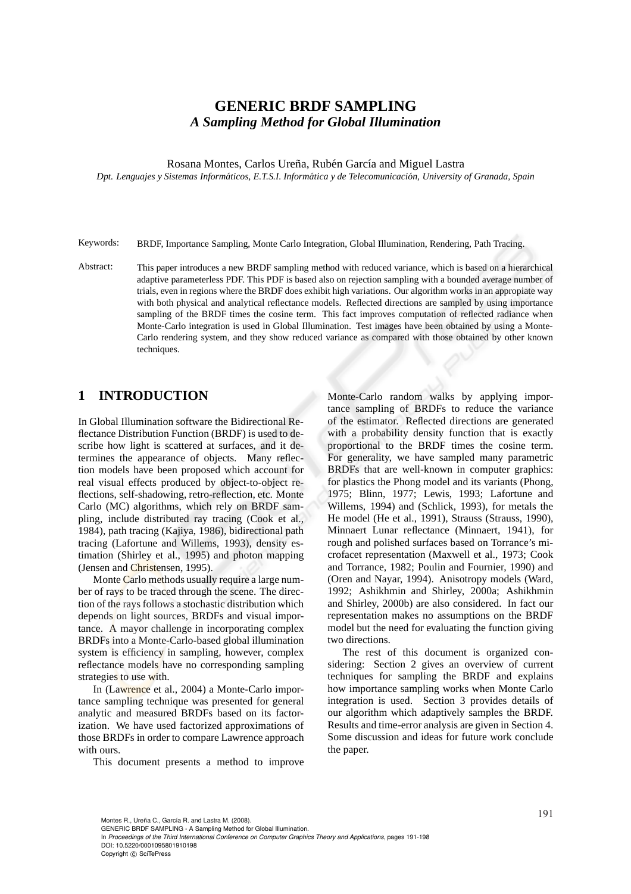# **GENERIC BRDF SAMPLING** *A Sampling Method for Global Illumination*

Rosana Montes, Carlos Ureña, Rubén García and Miguel Lastra

*Dpt. Lenguajes y Sistemas Inform´aticos, E.T.S.I. Inform´atica y de Telecomunicaci´on, University of Granada, Spain*

- Keywords: BRDF, Importance Sampling, Monte Carlo Integration, Global Illumination, Rendering, Path Tracing.
- Abstract: This paper introduces a new BRDF sampling method with reduced variance, which is based on a hierarchical adaptive parameterless PDF. This PDF is based also on rejection sampling with a bounded average number of trials, even in regions where the BRDF does exhibit high variations. Our algorithm works in an appropiate way with both physical and analytical reflectance models. Reflected directions are sampled by using importance sampling of the BRDF times the cosine term. This fact improves computation of reflected radiance when Monte-Carlo integration is used in Global Illumination. Test images have been obtained by using a Monte-Carlo rendering system, and they show reduced variance as compared with those obtained by other known techniques.

### **1 INTRODUCTION**

In Global Illumination software the Bidirectional Reflectance Distribution Function (BRDF) is used to describe how light is scattered at surfaces, and it determines the appearance of objects. Many reflection models have been proposed which account for real visual effects produced by object-to-object reflections, self-shadowing, retro-reflection, etc. Monte Carlo (MC) algorithms, which rely on BRDF sampling, include distributed ray tracing (Cook et al., 1984), path tracing (Kajiya, 1986), bidirectional path tracing (Lafortune and Willems, 1993), density estimation (Shirley et al., 1995) and photon mapping (Jensen and Christensen, 1995).

Monte Carlo methods usually require a large number of rays to be traced through the scene. The direction of the rays follows a stochastic distribution which depends on light sources, BRDFs and visual importance. A mayor challenge in incorporating complex BRDFs into a Monte-Carlo-based global illumination system is efficiency in sampling, however, complex reflectance models have no corresponding sampling strategies to use with.

In (Lawrence et al., 2004) a Monte-Carlo importance sampling technique was presented for general analytic and measured BRDFs based on its factorization. We have used factorized approximations of those BRDFs in order to compare Lawrence approach with ours.

This document presents a method to improve

Monte-Carlo random walks by applying importance sampling of BRDFs to reduce the variance of the estimator. Reflected directions are generated with a probability density function that is exactly proportional to the BRDF times the cosine term. For generality, we have sampled many parametric BRDFs that are well-known in computer graphics: for plastics the Phong model and its variants (Phong, 1975; Blinn, 1977; Lewis, 1993; Lafortune and Willems, 1994) and (Schlick, 1993), for metals the He model (He et al., 1991), Strauss (Strauss, 1990), Minnaert Lunar reflectance (Minnaert, 1941), for rough and polished surfaces based on Torrance's microfacet representation (Maxwell et al., 1973; Cook and Torrance, 1982; Poulin and Fournier, 1990) and (Oren and Nayar, 1994). Anisotropy models (Ward, 1992; Ashikhmin and Shirley, 2000a; Ashikhmin and Shirley, 2000b) are also considered. In fact our representation makes no assumptions on the BRDF model but the need for evaluating the function giving two directions.

The rest of this document is organized considering: Section 2 gives an overview of current techniques for sampling the BRDF and explains how importance sampling works when Monte Carlo integration is used. Section 3 provides details of our algorithm which adaptively samples the BRDF. Results and time-error analysis are given in Section 4. Some discussion and ideas for future work conclude the paper.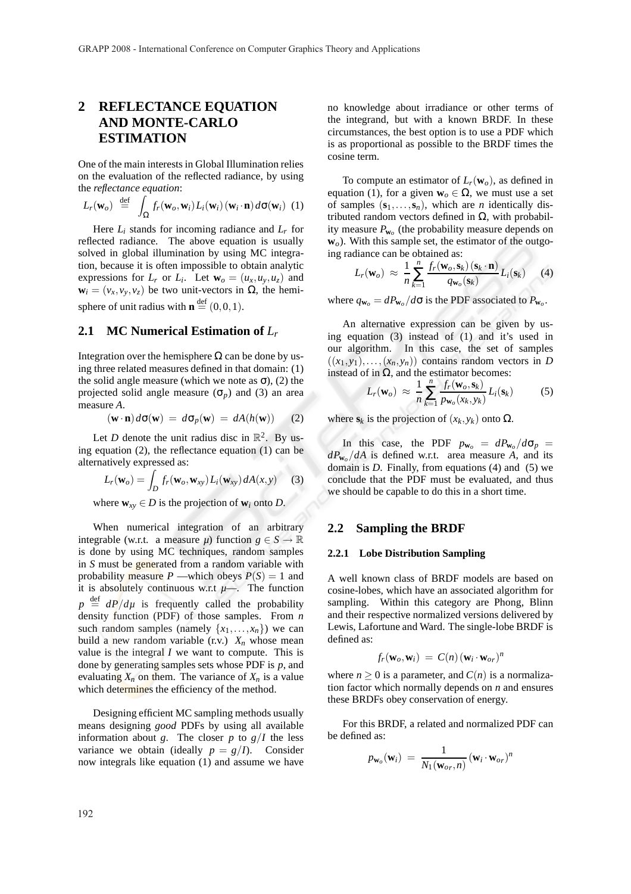# **2 REFLECTANCE EQUATION AND MONTE-CARLO ESTIMATION**

One of the main interests in Global Illumination relies on the evaluation of the reflected radiance, by using the *reflectance equation*:

$$
L_r(\mathbf{w}_o) \stackrel{\text{def}}{=} \int_{\Omega} f_r(\mathbf{w}_o, \mathbf{w}_i) L_i(\mathbf{w}_i) (\mathbf{w}_i \cdot \mathbf{n}) d\sigma(\mathbf{w}_i) \tag{1}
$$

Here  $L_i$  stands for incoming radiance and  $L_r$  for reflected radiance. The above equation is usually solved in global illumination by using MC integration, because it is often impossible to obtain analytic expressions for  $L_r$  or  $L_i$ . Let  $\mathbf{w}_o = (u_x, u_y, u_z)$  and  $\mathbf{w}_i = (v_x, v_y, v_z)$  be two unit-vectors in  $\Omega$ , the hemisphere of unit radius with  $\mathbf{n} \stackrel{\text{def}}{=} (0,0,1)$ .

### **2.1 MC Numerical Estimation of** *L<sup>r</sup>*

Integration over the hemisphere  $\Omega$  can be done by using three related measures defined in that domain: (1) the solid angle measure (which we note as σ), (2) the projected solid angle measure  $(\sigma_p)$  and (3) an area measure *A*.

$$
(\mathbf{w} \cdot \mathbf{n}) d\sigma(\mathbf{w}) = d\sigma_p(\mathbf{w}) = dA(h(\mathbf{w})) \qquad (2)
$$

Let *D* denote the unit radius disc in  $\mathbb{R}^2$ . By using equation (2), the reflectance equation (1) can be alternatively expressed as:

$$
L_r(\mathbf{w}_o) = \int_D f_r(\mathbf{w}_o, \mathbf{w}_{xy}) L_i(\mathbf{w}_{xy}) dA(x, y) \quad (3)
$$

where  $\mathbf{w}_{xy} \in D$  is the projection of  $\mathbf{w}_i$  onto *D*.

When numerical integration of an arbitrary integrable (w.r.t. a measure  $\mu$ ) function  $g \in S \to \mathbb{R}$ is done by using MC techniques, random samples in *S* must be generated from a random variable with probability measure *P* —which obeys  $P(S) = 1$  and it is absolutely continuous w.r.t  $\mu$ —. The function  $p \stackrel{\text{def}}{=} dP/d\mu$  is frequently called the probability density function (PDF) of those samples. From *n* such random samples (namely  $\{x_1, \ldots, x_n\}$ ) we can build a new random variable  $(r.v.)$   $X_n$  whose mean value is the integral *I* we want to compute. This is done by generating samples sets whose PDF is *p*, and evaluating  $X_n$  on them. The variance of  $X_n$  is a value which determines the efficiency of the method.

Designing efficient MC sampling methods usually means designing *good* PDFs by using all available information about *g*. The closer *p* to  $g/I$  the less variance we obtain (ideally  $p = g/I$ ). Consider now integrals like equation (1) and assume we have no knowledge about irradiance or other terms of the integrand, but with a known BRDF. In these circumstances, the best option is to use a PDF which is as proportional as possible to the BRDF times the cosine term.

To compute an estimator of  $L_r(\mathbf{w}_o)$ , as defined in equation (1), for a given  $\mathbf{w}_o \in \Omega$ , we must use a set of samples  $(s_1, \ldots, s_n)$ , which are *n* identically distributed random vectors defined in  $Ω$ , with probability measure *P***w***<sup>o</sup>* (the probability measure depends on **w***o*). With this sample set, the estimator of the outgoing radiance can be obtained as:

$$
L_r(\mathbf{w}_o) \approx \frac{1}{n} \sum_{k=1}^n \frac{f_r(\mathbf{w}_o, \mathbf{s}_k) (\mathbf{s}_k \cdot \mathbf{n})}{q_{\mathbf{w}_o}(\mathbf{s}_k)} L_i(\mathbf{s}_k) \qquad (4)
$$

where  $q_{\mathbf{w}_o} = dP_{\mathbf{w}_o} / d\sigma$  is the PDF associated to  $P_{\mathbf{w}_o}$ .

An alternative expression can be given by using equation (3) instead of (1) and it's used in our algorithm. In this case, the set of samples  $((x_1,y_1),..., (x_n,y_n))$  contains random vectors in *D* instead of in Ω, and the estimator becomes:<br> $\frac{1}{n} \int_{0}^{n} f(\mathbf{w} \cdot \mathbf{s})$ 

$$
L_r(\mathbf{w}_o) \approx \frac{1}{n} \sum_{k=1}^n \frac{f_r(\mathbf{w}_o, \mathbf{s}_k)}{p_{\mathbf{w}_o}(x_k, y_k)} L_i(\mathbf{s}_k)
$$
(5)

where  $\mathbf{s}_k$  is the projection of  $(x_k, y_k)$  onto  $\Omega$ .

In this case, the PDF  $p_{\mathbf{w}_o} = dP_{\mathbf{w}_o} / d\sigma_p =$  $dP_{\mathbf{w}_o}/dA$  is defined w.r.t. area measure *A*, and its domain is *D*. Finally, from equations (4) and (5) we conclude that the PDF must be evaluated, and thus we should be capable to do this in a short time.

### **2.2 Sampling the BRDF**

#### **2.2.1 Lobe Distribution Sampling**

A well known class of BRDF models are based on cosine-lobes, which have an associated algorithm for sampling. Within this category are Phong, Blinn and their respective normalized versions delivered by Lewis, Lafortune and Ward. The single-lobe BRDF is defined as:

$$
f_r(\mathbf{w}_o, \mathbf{w}_i) = C(n) (\mathbf{w}_i \cdot \mathbf{w}_{o_r})^n
$$

where  $n \geq 0$  is a parameter, and  $C(n)$  is a normalization factor which normally depends on *n* and ensures these BRDFs obey conservation of energy.

For this BRDF, a related and normalized PDF can be defined as:

$$
p_{\mathbf{w}_o}(\mathbf{w}_i) = \frac{1}{N_1(\mathbf{w}_{or}, n)} (\mathbf{w}_i \cdot \mathbf{w}_{or})^n
$$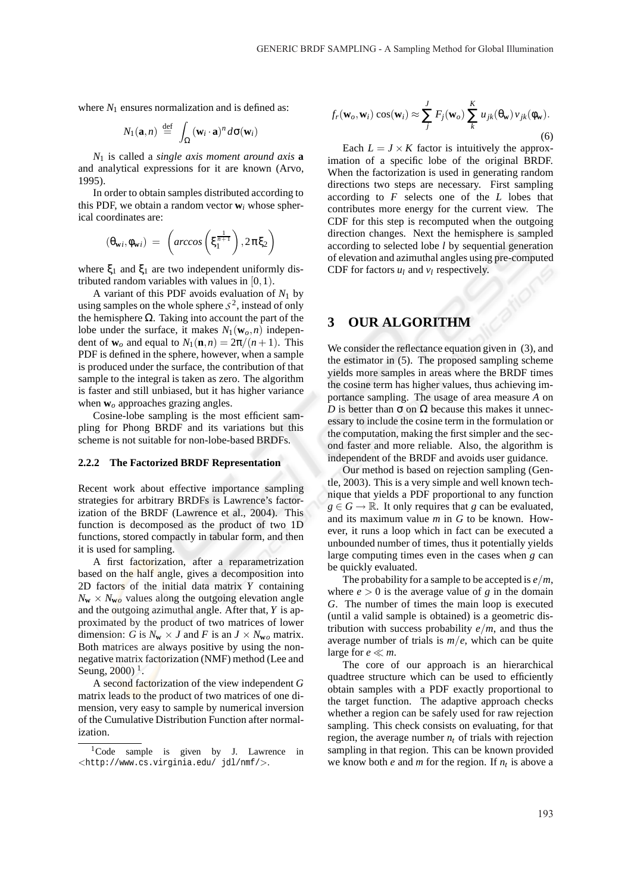where  $N_1$  ensures normalization and is defined as:

$$
N_1(\mathbf{a},n) \stackrel{\text{def}}{=} \int_{\Omega} (\mathbf{w}_i \cdot \mathbf{a})^n d\sigma(\mathbf{w}_i)
$$

*N*<sup>1</sup> is called a *single axis moment around axis* **a** and analytical expressions for it are known (Arvo, 1995).

In order to obtain samples distributed according to this PDF, we obtain a random vector  $w_i$  whose spherical coordinates are:

$$
(\theta_{\mathbf{w}i}, \phi_{\mathbf{w}i}) = \left(\arccos\left(\xi_1^{\frac{1}{n+1}}\right), 2\pi\xi_2\right)
$$

where  $\xi_1$  and  $\xi_1$  are two independent uniformly distributed random variables with values in  $[0,1)$ .

A variant of this PDF avoids evaluation of  $N_1$  by using samples on the whole sphere  $\mathcal{S}^2$ , instead of only the hemisphere  $\Omega$ . Taking into account the part of the lobe under the surface, it makes  $N_1(\mathbf{w}_o,n)$  independent of  $\mathbf{w}_o$  and equal to  $N_1(\mathbf{n}, n) = 2\pi/(n+1)$ . This PDF is defined in the sphere, however, when a sample is produced under the surface, the contribution of that sample to the integral is taken as zero. The algorithm is faster and still unbiased, but it has higher variance when **w***<sup>o</sup>* approaches grazing angles.

Cosine-lobe sampling is the most efficient sampling for Phong BRDF and its variations but this scheme is not suitable for non-lobe-based BRDFs.

#### **2.2.2 The Factorized BRDF Representation**

Recent work about effective importance sampling strategies for arbitrary BRDFs is Lawrence's factorization of the BRDF (Lawrence et al., 2004). This function is decomposed as the product of two 1D functions, stored compactly in tabular form, and then it is used for sampling.

A first factorization, after a reparametrization based on the half angle, gives a decomposition into 2D factors of the initial data matrix *Y* containing  $N_{\bf w} \times N_{\bf w_0}$  values along the outgoing elevation angle and the outgoing azimuthal angle. After that, *Y* is approximated by the product of two matrices of lower dimension: *G* is  $N_w \times J$  and *F* is an  $J \times N_{w}$  matrix. Both matrices are always positive by using the nonnegative matrix factorization (NMF) method (Lee and Seung,  $2000$ )<sup>1</sup>.

A second factorization of the view independent *G* matrix leads to the product of two matrices of one dimension, very easy to sample by numerical inversion of the Cumulative Distribution Function after normalization.

$$
f_r(\mathbf{w}_o, \mathbf{w}_i) \cos(\mathbf{w}_i) \approx \sum_j^J F_j(\mathbf{w}_o) \sum_k^K u_{jk}(\theta_{\mathbf{w}}) v_{jk}(\phi_{\mathbf{w}}).
$$
\n(6)

Each  $L = J \times K$  factor is intuitively the approximation of a specific lobe of the original BRDF. When the factorization is used in generating random directions two steps are necessary. First sampling according to *F* selects one of the *L* lobes that contributes more energy for the current view. The CDF for this step is recomputed when the outgoing direction changes. Next the hemisphere is sampled according to selected lobe *l* by sequential generation of elevation and azimuthal angles using pre-computed CDF for factors  $u_l$  and  $v_l$  respectively.

## **3 OUR ALGORITHM**

We consider the reflectance equation given in (3), and the estimator in (5). The proposed sampling scheme yields more samples in areas where the BRDF times the cosine term has higher values, thus achieving importance sampling. The usage of area measure *A* on *D* is better than σ on  $\Omega$  because this makes it unnecessary to include the cosine term in the formulation or the computation, making the first simpler and the second faster and more reliable. Also, the algorithm is independent of the BRDF and avoids user guidance.

Our method is based on rejection sampling (Gentle, 2003). This is a very simple and well known technique that yields a PDF proportional to any function  $g \in G \to \mathbb{R}$ . It only requires that *g* can be evaluated, and its maximum value *m* in *G* to be known. However, it runs a loop which in fact can be executed a unbounded number of times, thus it potentially yields large computing times even in the cases when *g* can be quickly evaluated.

The probability for a sample to be accepted is *e*/*m*, where  $e > 0$  is the average value of  $g$  in the domain *G*. The number of times the main loop is executed (until a valid sample is obtained) is a geometric distribution with success probability *e*/*m*, and thus the average number of trials is  $m/e$ , which can be quite large for *e* ≪ *m*.

The core of our approach is an hierarchical quadtree structure which can be used to efficiently obtain samples with a PDF exactly proportional to the target function. The adaptive approach checks whether a region can be safely used for raw rejection sampling. This check consists on evaluating, for that region, the average number  $n_t$  of trials with rejection sampling in that region. This can be known provided we know both *e* and *m* for the region. If  $n_t$  is above a

<sup>&</sup>lt;sup>1</sup>Code sample is given by J. Lawrence in <http://www.cs.virginia.edu/ jdl/nmf/>.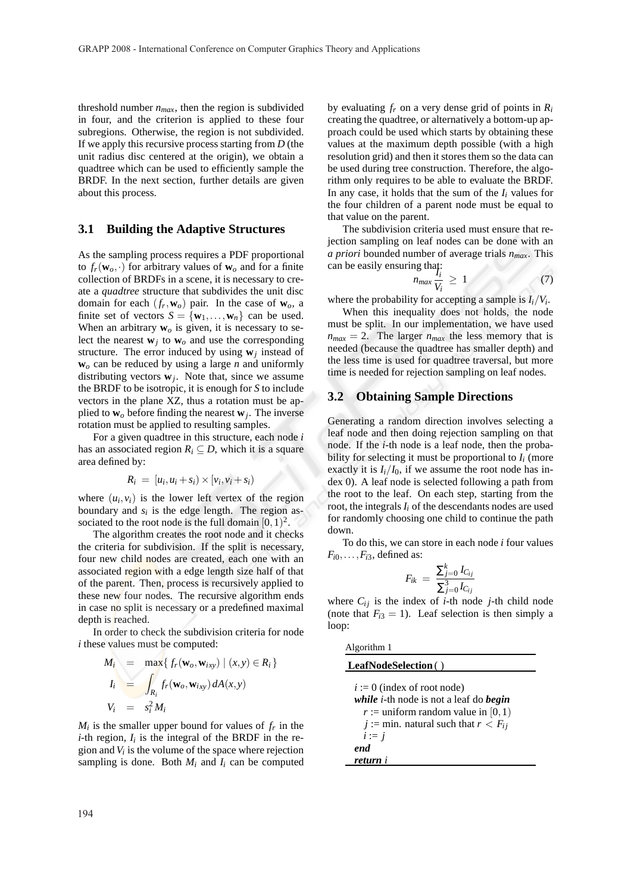threshold number  $n_{max}$ , then the region is subdivided in four, and the criterion is applied to these four subregions. Otherwise, the region is not subdivided. If we apply this recursive process starting from *D* (the unit radius disc centered at the origin), we obtain a quadtree which can be used to efficiently sample the BRDF. In the next section, further details are given about this process.

### **3.1 Building the Adaptive Structures**

As the sampling process requires a PDF proportional to  $f_r(\mathbf{w}_o, \cdot)$  for arbitrary values of  $\mathbf{w}_o$  and for a finite collection of BRDFs in a scene, it is necessary to create a *quadtree* structure that subdivides the unit disc domain for each  $(f_r, w_o)$  pair. In the case of  $w_o$ , a finite set of vectors  $S = {\mathbf{w}_1, \dots, \mathbf{w}_n}$  can be used. When an arbitrary  $w_0$  is given, it is necessary to select the nearest  $w_j$  to  $w_o$  and use the corresponding structure. The error induced by using  $w_j$  instead of **w***<sup>o</sup>* can be reduced by using a large *n* and uniformly distributing vectors  $w_j$ . Note that, since we assume the BRDF to be isotropic, it is enough for *S* to include vectors in the plane XZ, thus a rotation must be applied to  $w<sub>o</sub>$  before finding the nearest  $w<sub>j</sub>$ . The inverse rotation must be applied to resulting samples.

For a given quadtree in this structure, each node *i* has an associated region  $R_i \subseteq D$ , which it is a square area defined by:

$$
R_i = [u_i, u_i + s_i) \times [v_i, v_i + s_i)
$$

where  $(u_i, v_i)$  is the lower left vertex of the region boundary and  $s_i$  is the edge length. The region associated to the root node is the full domain  $[0, 1)^2$ .

The algorithm creates the root node and it checks the criteria for subdivision. If the split is necessary, four new child nodes are created, each one with an associated region with a edge length size half of that of the parent. Then, process is recursively applied to these new four nodes. The recursive algorithm ends in case no split is necessary or a predefined maximal depth is reached.

In order to check the subdivision criteria for node *i* these values must be computed:

$$
M_i = \max \{ f_r(\mathbf{w}_o, \mathbf{w}_{ixy}) \mid (x, y) \in R_i \}
$$
  

$$
I_i = \int_{R_i} f_r(\mathbf{w}_o, \mathbf{w}_{ixy}) dA(x, y)
$$
  

$$
V_i = s_i^2 M_i
$$

 $M_i$  is the smaller upper bound for values of  $f_r$  in the *i*-th region,  $I_i$  is the integral of the BRDF in the region and  $V_i$  is the volume of the space where rejection sampling is done. Both  $M_i$  and  $I_i$  can be computed by evaluating  $f_r$  on a very dense grid of points in  $R_i$ creating the quadtree, or alternatively a bottom-up approach could be used which starts by obtaining these values at the maximum depth possible (with a high resolution grid) and then it stores them so the data can be used during tree construction. Therefore, the algorithm only requires to be able to evaluate the BRDF. In any case, it holds that the sum of the *I<sup>i</sup>* values for the four children of a parent node must be equal to that value on the parent.

The subdivision criteria used must ensure that rejection sampling on leaf nodes can be done with an *a priori* bounded number of average trials *nmax*. This can be easily ensuring that: *Ii*

$$
n_{\text{max}} \frac{I_i}{V_i} \geq 1 \tag{7}
$$

where the probability for accepting a sample is *Ii*/*V<sup>i</sup>* .

When this inequality does not holds, the node must be split. In our implementation, we have used  $n_{max} = 2$ . The larger  $n_{max}$  the less memory that is needed (because the quadtree has smaller depth) and the less time is used for quadtree traversal, but more time is needed for rejection sampling on leaf nodes.

### **3.2 Obtaining Sample Directions**

Generating a random direction involves selecting a leaf node and then doing rejection sampling on that node. If the *i*-th node is a leaf node, then the probability for selecting it must be proportional to  $I_i$  (more exactly it is  $I_i/I_0$ , if we assume the root node has index 0). A leaf node is selected following a path from the root to the leaf. On each step, starting from the root, the integrals *I<sup>i</sup>* of the descendants nodes are used for randomly choosing one child to continue the path down.

To do this, we can store in each node *i* four values  $F_{i0}, \ldots, F_{i3}$ , defined as:

$$
F_{ik} = \frac{\sum_{j=0}^{k} I_{C_{ij}}}{\sum_{j=0}^{3} I_{C_{ij}}}
$$

where  $C_{ij}$  is the index of *i*-th node *j*-th child node (note that  $F_{i3} = 1$ ). Leaf selection is then simply a loop:

Algorithm 1

| LeafNodeSelection()                                   |
|-------------------------------------------------------|
|                                                       |
| $i := 0$ (index of root node)                         |
| <i>while i</i> -th node is not a leaf do <b>begin</b> |
| r := uniform random value in [0, 1)                   |
| j := min. natural such that $r < F_{ii}$              |
| $i := j$                                              |
| end                                                   |
| return i                                              |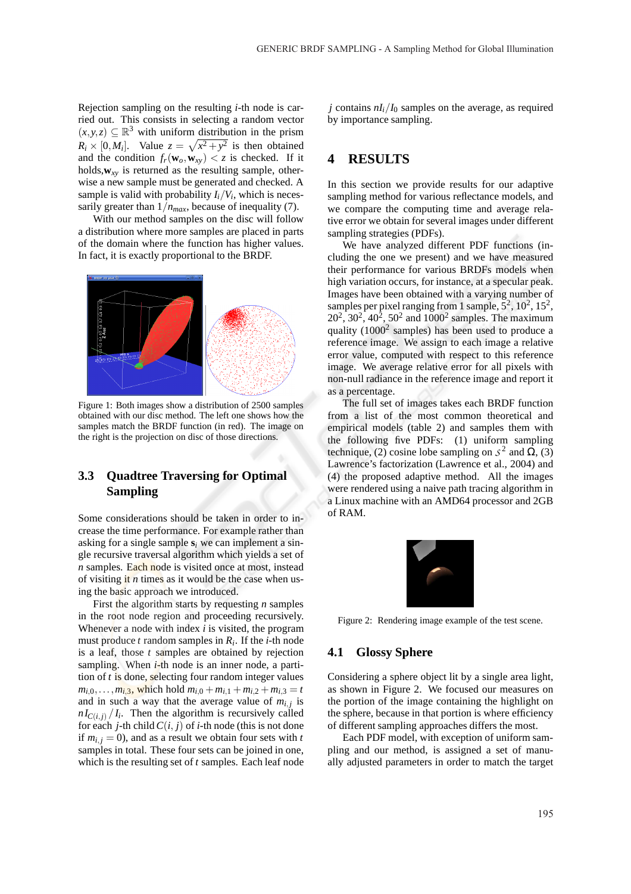Rejection sampling on the resulting *i*-th node is carried out. This consists in selecting a random vector  $(x, y, z) \subseteq \mathbb{R}^3$  with uniform distribution in the prism  $R_i \times [0, M_i]$ . Value  $z = \sqrt{x^2 + y^2}$  is then obtained and the condition  $f_r(\mathbf{w}_o, \mathbf{w}_{xy}) < z$  is checked. If it holds, $w_{xy}$  is returned as the resulting sample, otherwise a new sample must be generated and checked. A sample is valid with probability  $I_i/V_i$ , which is necessarily greater than  $1/n_{max}$ , because of inequality (7).

With our method samples on the disc will follow a distribution where more samples are placed in parts of the domain where the function has higher values. In fact, it is exactly proportional to the BRDF.



Figure 1: Both images show a distribution of 2500 samples obtained with our disc method. The left one shows how the samples match the BRDF function (in red). The image on the right is the projection on disc of those directions.

# **3.3 Quadtree Traversing for Optimal Sampling**

Some considerations should be taken in order to increase the time performance. For example rather than asking for a single sample  $s_i$  we can implement a single recursive traversal algorithm which yields a set of *n* samples. Each node is visited once at most, instead of visiting it *n* times as it would be the case when using the basic approach we introduced.

First the algorithm starts by requesting *n* samples in the root node region and proceeding recursively. Whenever a node with index *i* is visited, the program must produce *t* random samples in *R<sup>i</sup>* . If the *i*-th node is a leaf, those *t* samples are obtained by rejection sampling. When *i*-th node is an inner node, a partition of *t* is done, selecting four random integer values  $m_{i,0}, \ldots, m_{i,3}$ , which hold  $m_{i,0} + m_{i,1} + m_{i,2} + m_{i,3} = t$ and in such a way that the average value of  $m_{i,j}$  is  $nI_{C(i,j)}/I_i$ . Then the algorithm is recursively called for each *j*-th child  $C(i, j)$  of *i*-th node (this is not done if  $m_{i,j} = 0$ , and as a result we obtain four sets with *t* samples in total. These four sets can be joined in one, which is the resulting set of *t* samples. Each leaf node

*j* contains *nIi*/*I*<sup>0</sup> samples on the average, as required by importance sampling.

# **4 RESULTS**

In this section we provide results for our adaptive sampling method for various reflectance models, and we compare the computing time and average relative error we obtain for several images under different sampling strategies (PDFs).

We have analyzed different PDF functions (including the one we present) and we have measured their performance for various BRDFs models when high variation occurs, for instance, at a specular peak. Images have been obtained with a varying number of samples per pixel ranging from 1 sample,  $5^2$ ,  $10^2$ ,  $15^2$ ,  $20^2$ ,  $30^2$ ,  $40^2$ ,  $50^2$  and  $1000^2$  samples. The maximum quality ( $1000<sup>2</sup>$  samples) has been used to produce a reference image. We assign to each image a relative error value, computed with respect to this reference image. We average relative error for all pixels with non-null radiance in the reference image and report it as a percentage.

The full set of images takes each BRDF function from a list of the most common theoretical and empirical models (table 2) and samples them with the following five PDFs: (1) uniform sampling technique, (2) cosine lobe sampling on  $s^2$  and  $\Omega$ , (3) Lawrence's factorization (Lawrence et al., 2004) and (4) the proposed adaptive method. All the images were rendered using a naive path tracing algorithm in a Linux machine with an AMD64 processor and 2GB of RAM.



Figure 2: Rendering image example of the test scene.

### **4.1 Glossy Sphere**

Considering a sphere object lit by a single area light, as shown in Figure 2. We focused our measures on the portion of the image containing the highlight on the sphere, because in that portion is where efficiency of different sampling approaches differs the most.

Each PDF model, with exception of uniform sampling and our method, is assigned a set of manually adjusted parameters in order to match the target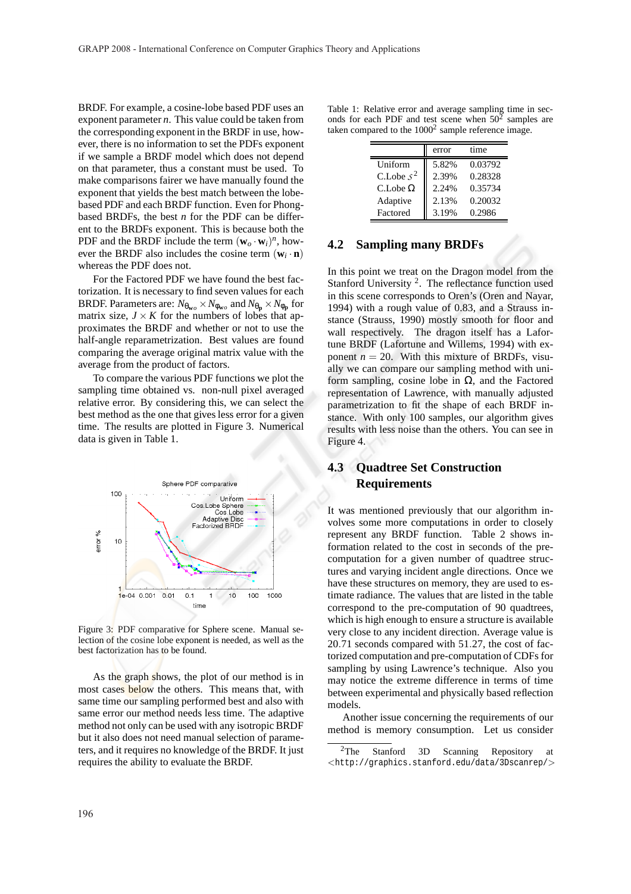BRDF. For example, a cosine-lobe based PDF uses an exponent parameter *n*. This value could be taken from the corresponding exponent in the BRDF in use, however, there is no information to set the PDFs exponent if we sample a BRDF model which does not depend on that parameter, thus a constant must be used. To make comparisons fairer we have manually found the exponent that yields the best match between the lobebased PDF and each BRDF function. Even for Phongbased BRDFs, the best *n* for the PDF can be different to the BRDFs exponent. This is because both the PDF and the BRDF include the term  $(\mathbf{w}_o \cdot \mathbf{w}_i)^n$ , however the BRDF also includes the cosine term  $(\mathbf{w}_i \cdot \mathbf{n})$ whereas the PDF does not.

For the Factored PDF we have found the best factorization. It is necessary to find seven values for each  $BRDF$ . Parameters are:  $N_{\theta_{\mathbf{w}\sigma}} \times N_{\phi_{\mathbf{w}\sigma}}$  and  $N_{\theta_{\mathbf{p}}} \times N_{\phi_{\mathbf{p}}}$  for matrix size,  $J \times K$  for the numbers of lobes that approximates the BRDF and whether or not to use the half-angle reparametrization. Best values are found comparing the average original matrix value with the average from the product of factors.

To compare the various PDF functions we plot the sampling time obtained vs. non-null pixel averaged relative error. By considering this, we can select the best method as the one that gives less error for a given time. The results are plotted in Figure 3. Numerical data is given in Table 1.



Figure 3: PDF comparative for Sphere scene. Manual selection of the cosine lobe exponent is needed, as well as the best factorization has to be found.

As the graph shows, the plot of our method is in most cases below the others. This means that, with same time our sampling performed best and also with same error our method needs less time. The adaptive method not only can be used with any isotropic BRDF but it also does not need manual selection of parameters, and it requires no knowledge of the BRDF. It just requires the ability to evaluate the BRDF.

Table 1: Relative error and average sampling time in seconds for each PDF and test scene when  $50^2$  samples are taken compared to the  $1000<sup>2</sup>$  sample reference image.

|                 | error | time    |
|-----------------|-------|---------|
| Uniform         | 5.82% | 0.03792 |
| C.Lobe $s^2$    | 2.39% | 0.28328 |
| C.Lobe $\Omega$ | 2.24% | 0.35734 |
| Adaptive        | 2.13% | 0.20032 |
| Factored        | 3.19% | 0.2986  |

#### **4.2 Sampling many BRDFs**

In this point we treat on the Dragon model from the Stanford University<sup>2</sup>. The reflectance function used in this scene corresponds to Oren's (Oren and Nayar, 1994) with a rough value of 0.83, and a Strauss instance (Strauss, 1990) mostly smooth for floor and wall respectively. The dragon itself has a Lafortune BRDF (Lafortune and Willems, 1994) with exponent  $n = 20$ . With this mixture of BRDFs, visually we can compare our sampling method with uniform sampling, cosine lobe in Ω, and the Factored representation of Lawrence, with manually adjusted parametrization to fit the shape of each BRDF instance. With only 100 samples, our algorithm gives results with less noise than the others. You can see in Figure 4.

# **4.3 Quadtree Set Construction Requirements**

It was mentioned previously that our algorithm involves some more computations in order to closely represent any BRDF function. Table 2 shows information related to the cost in seconds of the precomputation for a given number of quadtree structures and varying incident angle directions. Once we have these structures on memory, they are used to estimate radiance. The values that are listed in the table correspond to the pre-computation of 90 quadtrees, which is high enough to ensure a structure is available very close to any incident direction. Average value is 20.71 seconds compared with 51.27, the cost of factorized computation and pre-computation of CDFs for sampling by using Lawrence's technique. Also you may notice the extreme difference in terms of time between experimental and physically based reflection models.

Another issue concerning the requirements of our method is memory consumption. Let us consider

 $2$ The Stanford 3D Scanning Repository at <http://graphics.stanford.edu/data/3Dscanrep/>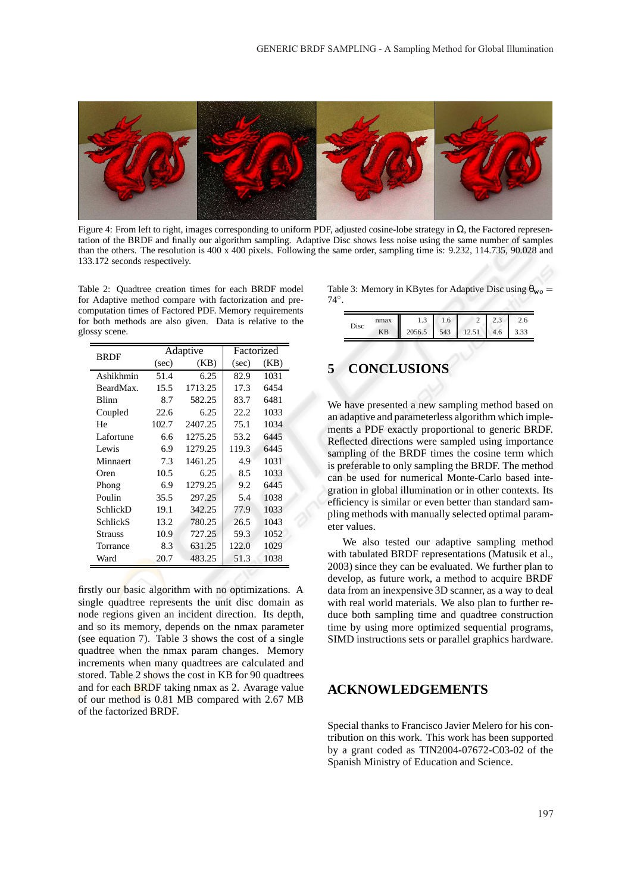

Figure 4: From left to right, images corresponding to uniform PDF, adjusted cosine-lobe strategy in  $Ω$ , the Factored representation of the BRDF and finally our algorithm sampling. Adaptive Disc shows less noise using the same number of samples than the others. The resolution is 400 x 400 pixels. Following the same order, sampling time is: 9.232, 114.735, 90.028 and 133.172 seconds respectively.

Table 2: Quadtree creation times for each BRDF model for Adaptive method compare with factorization and precomputation times of Factored PDF. Memory requirements for both methods are also given. Data is relative to the glossy scene.

| <b>BRDF</b>    |       | Adaptive | Factorized   |      |
|----------------|-------|----------|--------------|------|
|                | (sec) | (KB)     | (sec)        | (KB) |
| Ashikhmin      | 51.4  | 6.25     | 82.9<br>1031 |      |
| BeardMax.      | 15.5  | 1713.25  | 17.3         | 6454 |
| Blinn          | 8.7   | 582.25   | 83.7         | 6481 |
| Coupled        | 22.6  | 6.25     | 22.2         | 1033 |
| He             | 102.7 | 2407.25  | 75.1         | 1034 |
| Lafortune      | 6.6   | 1275.25  | 53.2         | 6445 |
| Lewis          | 6.9   | 1279.25  | 119.3        | 6445 |
| Minnaert       | 7.3   | 1461.25  | 4.9          | 1031 |
| Oren           | 10.5  | 6.25     | 8.5          | 1033 |
| Phong          | 6.9   | 1279.25  | 9.2          | 6445 |
| Poulin         | 35.5  | 297.25   | 5.4          | 1038 |
| SchlickD       | 19.1  | 342.25   | 77.9         | 1033 |
| SchlickS       | 13.2  | 780.25   | 26.5         | 1043 |
| <b>Strauss</b> | 10.9  | 727.25   | 59.3         | 1052 |
| Torrance       | 8.3   | 631.25   | 122.0        | 1029 |
| Ward           | 20.7  | 483.25   | 51.3         | 1038 |

firstly our basic algorithm with no optimizations. A single quadtree represents the unit disc domain as node regions given an incident direction. Its depth, and so its memory, depends on the nmax parameter (see equation 7). Table 3 shows the cost of a single quadtree when the nmax param changes. Memory increments when many quadtrees are calculated and stored. Table 2 shows the cost in KB for 90 quadtrees and for each BRDF taking nmax as 2. Avarage value of our method is 0.81 MB compared with 2.67 MB of the factorized BRDF.

Table 3: Memory in KBytes for Adaptive Disc using  $\theta_{\mathbf{w}\rho} =$ 74◦ .

| Disc | nmax      | ن. 1   | 1.6 |       |     |      |
|------|-----------|--------|-----|-------|-----|------|
|      | <b>KB</b> | 2056.5 | 543 | 12.51 | 4.O | 3.33 |

# **5 CONCLUSION**

We have presented a new sampling method based on an adaptive and parameterless algorithm which implements a PDF exactly proportional to generic BRDF. Reflected directions were sampled using importance sampling of the BRDF times the cosine term which is preferable to only sampling the BRDF. The method can be used for numerical Monte-Carlo based integration in global illumination or in other contexts. Its efficiency is similar or even better than standard sampling methods with manually selected optimal parameter values.

We also tested our adaptive sampling method with tabulated BRDF representations (Matusik et al., 2003) since they can be evaluated. We further plan to develop, as future work, a method to acquire BRDF data from an inexpensive 3D scanner, as a way to deal with real world materials. We also plan to further reduce both sampling time and quadtree construction time by using more optimized sequential programs, SIMD instructions sets or parallel graphics hardware.

### **ACKNOWLEDGEMENTS**

Special thanks to Francisco Javier Melero for his contribution on this work. This work has been supported by a grant coded as TIN2004-07672-C03-02 of the Spanish Ministry of Education and Science.